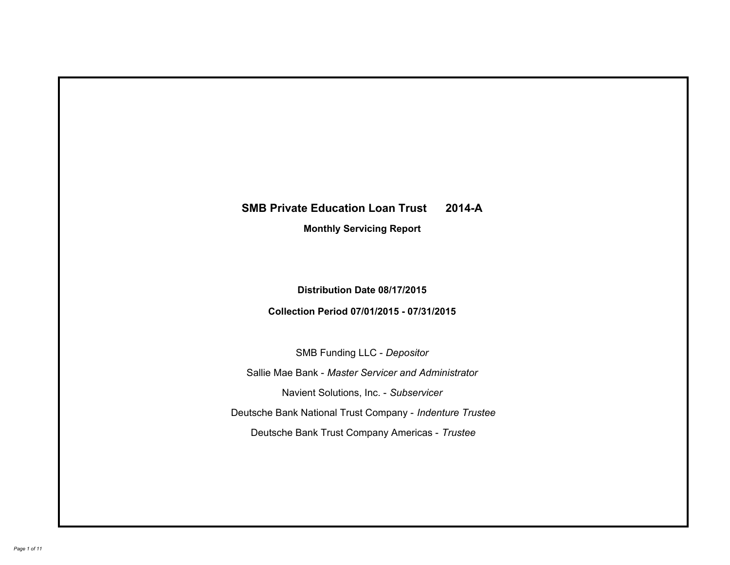# **SMB Private Education Loan Trust 2014-A Monthly Servicing Report**

# **Distribution Date 08/17/2015**

# **Collection Period 07/01/2015 - 07/31/2015**

SMB Funding LLC - *Depositor*

Sallie Mae Bank - *Master Servicer and Administrator*

Navient Solutions, Inc. - *Subservicer*

Deutsche Bank National Trust Company - *Indenture Trustee*

Deutsche Bank Trust Company Americas - *Trustee*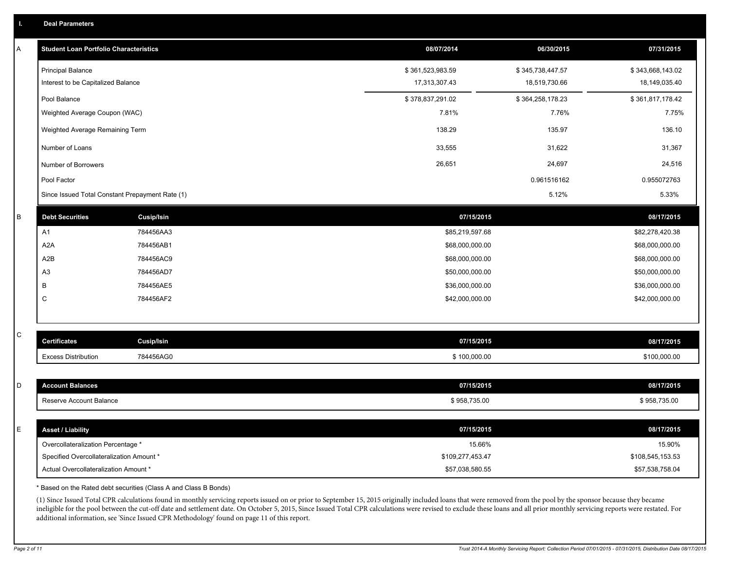|  | <b>Deal Parameters</b> |  |
|--|------------------------|--|
|  |                        |  |

| Α           | <b>Student Loan Portfolio Characteristics</b>   |                   | 08/07/2014       | 06/30/2015       | 07/31/2015       |
|-------------|-------------------------------------------------|-------------------|------------------|------------------|------------------|
|             | <b>Principal Balance</b>                        |                   | \$361,523,983.59 | \$345,738,447.57 | \$343,668,143.02 |
|             | Interest to be Capitalized Balance              |                   | 17,313,307.43    | 18,519,730.66    | 18,149,035.40    |
|             | Pool Balance                                    |                   | \$378,837,291.02 | \$364,258,178.23 | \$361,817,178.42 |
|             | Weighted Average Coupon (WAC)                   |                   | 7.81%            | 7.76%            | 7.75%            |
|             | Weighted Average Remaining Term                 |                   | 138.29           | 135.97           | 136.10           |
|             | Number of Loans                                 |                   | 33,555           | 31,622           | 31,367           |
|             | Number of Borrowers                             |                   | 26,651           | 24,697           | 24,516           |
|             | Pool Factor                                     |                   |                  | 0.961516162      | 0.955072763      |
|             | Since Issued Total Constant Prepayment Rate (1) |                   |                  | 5.12%            | 5.33%            |
| В           | <b>Debt Securities</b>                          | <b>Cusip/Isin</b> | 07/15/2015       |                  | 08/17/2015       |
|             | A1                                              | 784456AA3         | \$85,219,597.68  |                  | \$82,278,420.38  |
|             | A <sub>2</sub> A                                | 784456AB1         | \$68,000,000.00  |                  | \$68,000,000.00  |
|             | A2B                                             | 784456AC9         | \$68,000,000.00  |                  | \$68,000,000.00  |
|             | A <sub>3</sub>                                  | 784456AD7         | \$50,000,000.00  |                  | \$50,000,000.00  |
|             | В                                               | 784456AE5         | \$36,000,000.00  |                  | \$36,000,000.00  |
|             | C                                               | 784456AF2         | \$42,000,000.00  |                  | \$42,000,000.00  |
|             |                                                 |                   |                  |                  |                  |
| $\mathsf C$ | <b>Certificates</b>                             | Cusip/Isin        | 07/15/2015       |                  | 08/17/2015       |
|             | <b>Excess Distribution</b>                      | 784456AG0         | \$100,000.00     |                  | \$100,000.00     |
|             |                                                 |                   |                  |                  |                  |
| D           | <b>Account Balances</b>                         |                   | 07/15/2015       |                  | 08/17/2015       |
|             | Reserve Account Balance                         |                   | \$958,735.00     |                  | \$958,735.00     |
|             |                                                 |                   |                  |                  |                  |
| E           | <b>Asset / Liability</b>                        |                   | 07/15/2015       |                  | 08/17/2015       |
|             | Overcollateralization Percentage *              |                   | 15.66%           |                  | 15.90%           |
|             | Specified Overcollateralization Amount *        |                   | \$109,277,453.47 |                  | \$108,545,153.53 |
|             | Actual Overcollateralization Amount *           |                   | \$57,038,580.55  |                  | \$57,538,758.04  |

\* Based on the Rated debt securities (Class A and Class B Bonds)

(1) Since Issued Total CPR calculations found in monthly servicing reports issued on or prior to September 15, 2015 originally included loans that were removed from the pool by the sponsor because they became ineligible for the pool between the cut-off date and settlement date. On October 5, 2015, Since Issued Total CPR calculations were revised to exclude these loans and all prior monthly servicing reports were restated. For additional information, see 'Since Issued CPR Methodology' found on page 11 of this report.

*Page 2 of 11 Trust 2014-A Monthly Servicing Report: Collection Period 07/01/2015 - 07/31/2015, Distribution Date 08/17/2015*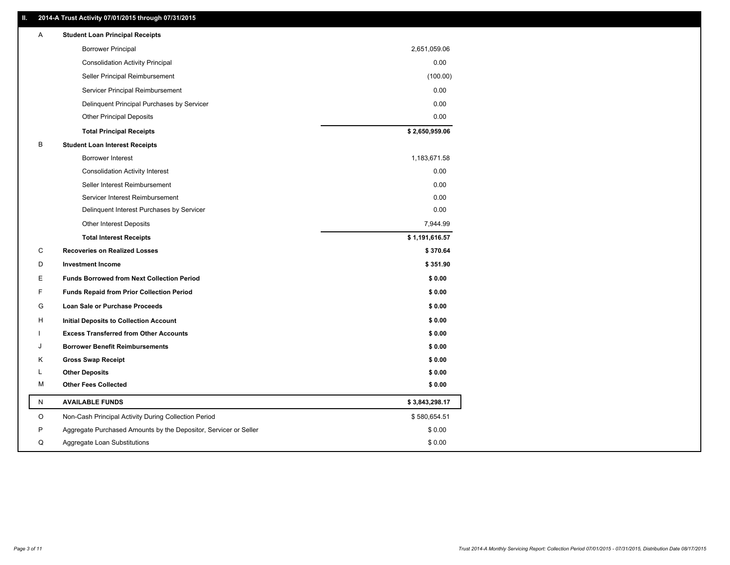#### **II. 2014-A Trust Activity 07/01/2015 through 07/31/2015**

| Α | <b>Student Loan Principal Receipts</b>                           |                |
|---|------------------------------------------------------------------|----------------|
|   | <b>Borrower Principal</b>                                        | 2,651,059.06   |
|   | <b>Consolidation Activity Principal</b>                          | 0.00           |
|   | Seller Principal Reimbursement                                   | (100.00)       |
|   | Servicer Principal Reimbursement                                 | 0.00           |
|   | Delinquent Principal Purchases by Servicer                       | 0.00           |
|   | <b>Other Principal Deposits</b>                                  | 0.00           |
|   | <b>Total Principal Receipts</b>                                  | \$2,650,959.06 |
| B | <b>Student Loan Interest Receipts</b>                            |                |
|   | Borrower Interest                                                | 1,183,671.58   |
|   | <b>Consolidation Activity Interest</b>                           | 0.00           |
|   | Seller Interest Reimbursement                                    | 0.00           |
|   | Servicer Interest Reimbursement                                  | 0.00           |
|   | Delinquent Interest Purchases by Servicer                        | 0.00           |
|   | <b>Other Interest Deposits</b>                                   | 7,944.99       |
|   | <b>Total Interest Receipts</b>                                   | \$1,191,616.57 |
| C | <b>Recoveries on Realized Losses</b>                             | \$370.64       |
| D | <b>Investment Income</b>                                         | \$351.90       |
| Е | <b>Funds Borrowed from Next Collection Period</b>                | \$0.00         |
| F | <b>Funds Repaid from Prior Collection Period</b>                 | \$0.00         |
| G | Loan Sale or Purchase Proceeds                                   | \$0.00         |
| н | Initial Deposits to Collection Account                           | \$0.00         |
|   | <b>Excess Transferred from Other Accounts</b>                    | \$0.00         |
|   | <b>Borrower Benefit Reimbursements</b>                           | \$0.00         |
| Κ | <b>Gross Swap Receipt</b>                                        | \$0.00         |
| L | <b>Other Deposits</b>                                            | \$0.00         |
| M | <b>Other Fees Collected</b>                                      | \$0.00         |
| N | <b>AVAILABLE FUNDS</b>                                           | \$3,843,298.17 |
| O | Non-Cash Principal Activity During Collection Period             | \$580,654.51   |
| P | Aggregate Purchased Amounts by the Depositor, Servicer or Seller | \$0.00         |
| Q | Aggregate Loan Substitutions                                     | \$0.00         |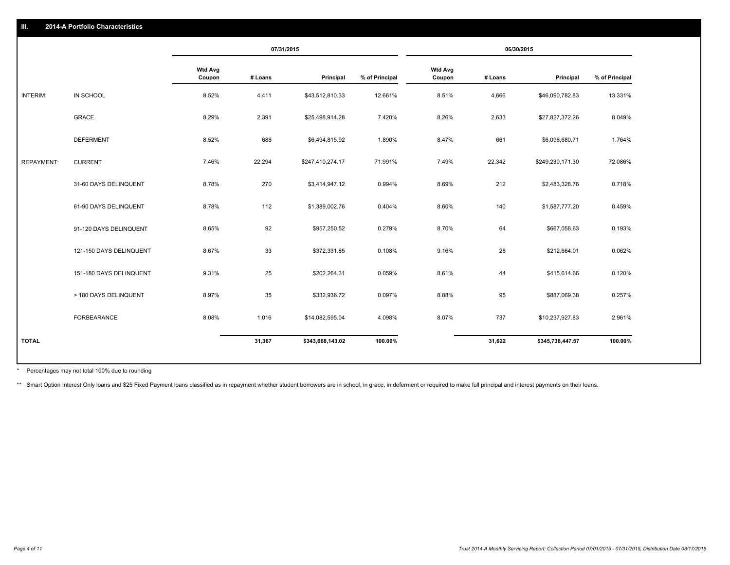|                   |                         |                          | 07/31/2015 |                  |                | 06/30/2015        |         |                  |                |
|-------------------|-------------------------|--------------------------|------------|------------------|----------------|-------------------|---------|------------------|----------------|
|                   |                         | <b>Wtd Avg</b><br>Coupon | # Loans    | Principal        | % of Principal | Wtd Avg<br>Coupon | # Loans | Principal        | % of Principal |
| INTERIM:          | IN SCHOOL               | 8.52%                    | 4,411      | \$43,512,810.33  | 12.661%        | 8.51%             | 4,666   | \$46,090,782.83  | 13.331%        |
|                   | GRACE                   | 8.29%                    | 2,391      | \$25,498,914.28  | 7.420%         | 8.26%             | 2,633   | \$27,827,372.26  | 8.049%         |
|                   | <b>DEFERMENT</b>        | 8.52%                    | 688        | \$6,494,815.92   | 1.890%         | 8.47%             | 661     | \$6,098,680.71   | 1.764%         |
| <b>REPAYMENT:</b> | <b>CURRENT</b>          | 7.46%                    | 22,294     | \$247,410,274.17 | 71.991%        | 7.49%             | 22,342  | \$249,230,171.30 | 72.086%        |
|                   | 31-60 DAYS DELINQUENT   | 8.78%                    | 270        | \$3,414,947.12   | 0.994%         | 8.69%             | 212     | \$2,483,328.76   | 0.718%         |
|                   | 61-90 DAYS DELINQUENT   | 8.78%                    | 112        | \$1,389,002.76   | 0.404%         | 8.60%             | 140     | \$1,587,777.20   | 0.459%         |
|                   | 91-120 DAYS DELINQUENT  | 8.65%                    | 92         | \$957,250.52     | 0.279%         | 8.70%             | 64      | \$667,058.63     | 0.193%         |
|                   | 121-150 DAYS DELINQUENT | 8.67%                    | 33         | \$372,331.85     | 0.108%         | 9.16%             | 28      | \$212,664.01     | 0.062%         |
|                   | 151-180 DAYS DELINQUENT | 9.31%                    | 25         | \$202,264.31     | 0.059%         | 8.61%             | 44      | \$415,614.66     | 0.120%         |
|                   | > 180 DAYS DELINQUENT   | 8.97%                    | 35         | \$332,936.72     | 0.097%         | 8.88%             | 95      | \$887,069.38     | 0.257%         |
|                   | FORBEARANCE             | 8.08%                    | 1,016      | \$14,082,595.04  | 4.098%         | 8.07%             | 737     | \$10,237,927.83  | 2.961%         |
| <b>TOTAL</b>      |                         |                          | 31,367     | \$343,668,143.02 | 100.00%        |                   | 31,622  | \$345,738,447.57 | 100.00%        |

Percentages may not total 100% due to rounding \*

\*\* Smart Option Interest Only loans and \$25 Fixed Payment loans classified as in repayment whether student borrowers are in school, in grace, in deferment or required to make full principal and interest payments on their l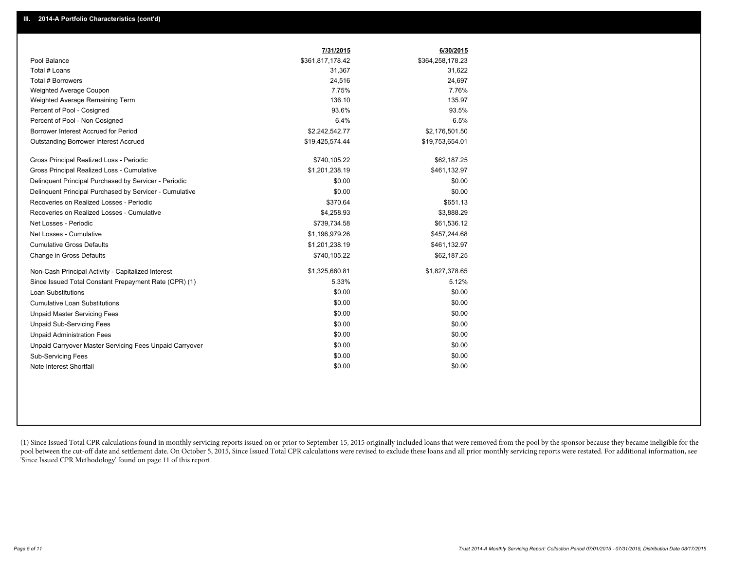|                                                         | 7/31/2015        | 6/30/2015        |
|---------------------------------------------------------|------------------|------------------|
| Pool Balance                                            | \$361,817,178.42 | \$364,258,178.23 |
| Total # Loans                                           | 31,367           | 31,622           |
| Total # Borrowers                                       | 24,516           | 24,697           |
| Weighted Average Coupon                                 | 7.75%            | 7.76%            |
| Weighted Average Remaining Term                         | 136.10           | 135.97           |
| Percent of Pool - Cosigned                              | 93.6%            | 93.5%            |
| Percent of Pool - Non Cosigned                          | 6.4%             | 6.5%             |
| Borrower Interest Accrued for Period                    | \$2,242,542.77   | \$2,176,501.50   |
| <b>Outstanding Borrower Interest Accrued</b>            | \$19,425,574.44  | \$19,753,654.01  |
| Gross Principal Realized Loss - Periodic                | \$740,105.22     | \$62,187.25      |
| Gross Principal Realized Loss - Cumulative              | \$1,201,238.19   | \$461,132.97     |
| Delinquent Principal Purchased by Servicer - Periodic   | \$0.00           | \$0.00           |
| Delinguent Principal Purchased by Servicer - Cumulative | \$0.00           | \$0.00           |
| Recoveries on Realized Losses - Periodic                | \$370.64         | \$651.13         |
| Recoveries on Realized Losses - Cumulative              | \$4,258.93       | \$3,888.29       |
| Net Losses - Periodic                                   | \$739,734.58     | \$61,536.12      |
| Net Losses - Cumulative                                 | \$1,196,979.26   | \$457,244.68     |
| <b>Cumulative Gross Defaults</b>                        | \$1,201,238.19   | \$461,132.97     |
| Change in Gross Defaults                                | \$740,105.22     | \$62,187.25      |
| Non-Cash Principal Activity - Capitalized Interest      | \$1,325,660.81   | \$1,827,378.65   |
| Since Issued Total Constant Prepayment Rate (CPR) (1)   | 5.33%            | 5.12%            |
| <b>Loan Substitutions</b>                               | \$0.00           | \$0.00           |
| <b>Cumulative Loan Substitutions</b>                    | \$0.00           | \$0.00           |
| <b>Unpaid Master Servicing Fees</b>                     | \$0.00           | \$0.00           |
| <b>Unpaid Sub-Servicing Fees</b>                        | \$0.00           | \$0.00           |
| <b>Unpaid Administration Fees</b>                       | \$0.00           | \$0.00           |
| Unpaid Carryover Master Servicing Fees Unpaid Carryover | \$0.00           | \$0.00           |
| <b>Sub-Servicing Fees</b>                               | \$0.00           | \$0.00           |
| Note Interest Shortfall                                 | \$0.00           | \$0.00           |

(1) Since Issued Total CPR calculations found in monthly servicing reports issued on or prior to September 15, 2015 originally included loans that were removed from the pool by the sponsor because they became ineligible fo pool between the cut-off date and settlement date. On October 5, 2015, Since Issued Total CPR calculations were revised to exclude these loans and all prior monthly servicing reports were restated. For additional informati 'Since Issued CPR Methodology' found on page 11 of this report.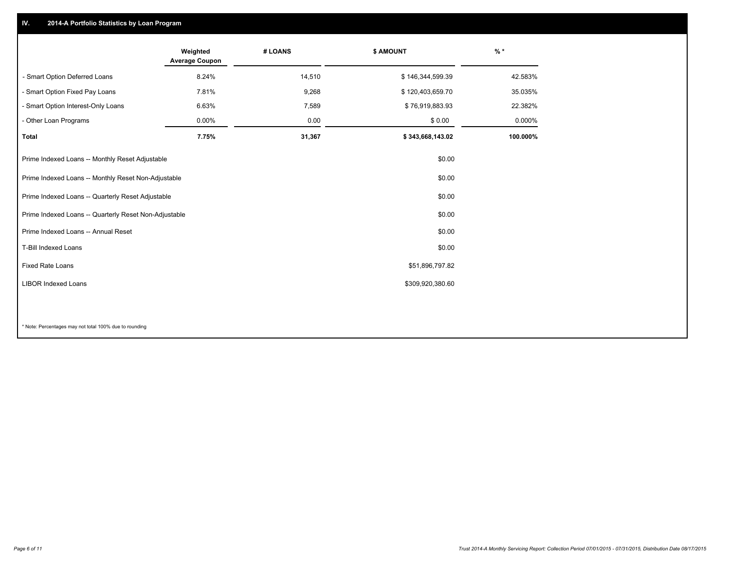## **IV. 2014-A Portfolio Statistics by Loan Program**

|                                                       | Weighted<br><b>Average Coupon</b> | # LOANS | \$ AMOUNT        | $%$ *    |
|-------------------------------------------------------|-----------------------------------|---------|------------------|----------|
| - Smart Option Deferred Loans                         | 8.24%                             | 14,510  | \$146,344,599.39 | 42.583%  |
| - Smart Option Fixed Pay Loans                        | 7.81%                             | 9,268   | \$120,403,659.70 | 35.035%  |
| - Smart Option Interest-Only Loans                    | 6.63%                             | 7,589   | \$76,919,883.93  | 22.382%  |
| - Other Loan Programs                                 | 0.00%                             | 0.00    | \$0.00           | 0.000%   |
| <b>Total</b>                                          | 7.75%                             | 31,367  | \$343,668,143.02 | 100.000% |
| Prime Indexed Loans -- Monthly Reset Adjustable       |                                   |         | \$0.00           |          |
| Prime Indexed Loans -- Monthly Reset Non-Adjustable   |                                   |         | \$0.00           |          |
| Prime Indexed Loans -- Quarterly Reset Adjustable     |                                   |         | \$0.00           |          |
| Prime Indexed Loans -- Quarterly Reset Non-Adjustable |                                   |         | \$0.00           |          |
| Prime Indexed Loans -- Annual Reset                   |                                   |         | \$0.00           |          |
| T-Bill Indexed Loans                                  |                                   |         | \$0.00           |          |
| Fixed Rate Loans                                      |                                   |         | \$51,896,797.82  |          |
| <b>LIBOR Indexed Loans</b>                            |                                   |         | \$309,920,380.60 |          |
|                                                       |                                   |         |                  |          |

\* Note: Percentages may not total 100% due to rounding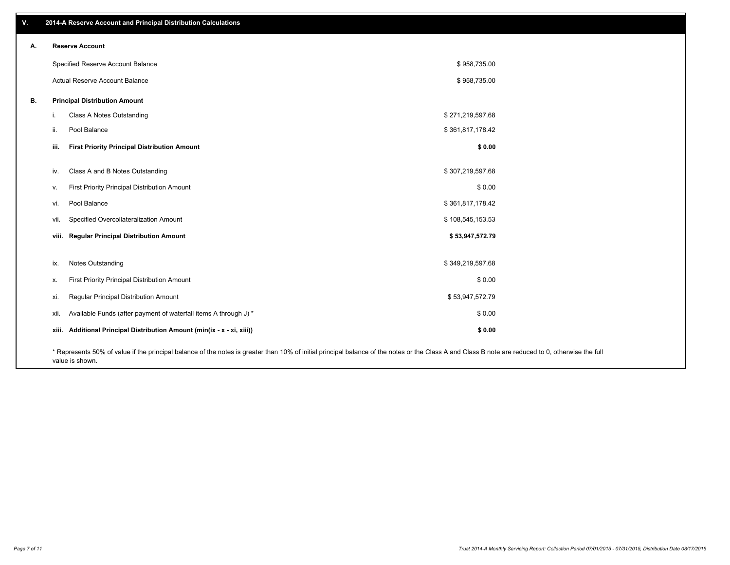| V. |       | 2014-A Reserve Account and Principal Distribution Calculations                                                                                                                                                        |                  |  |
|----|-------|-----------------------------------------------------------------------------------------------------------------------------------------------------------------------------------------------------------------------|------------------|--|
| А. |       | <b>Reserve Account</b>                                                                                                                                                                                                |                  |  |
|    |       | Specified Reserve Account Balance                                                                                                                                                                                     | \$958,735.00     |  |
|    |       | Actual Reserve Account Balance                                                                                                                                                                                        | \$958,735.00     |  |
| В. |       | <b>Principal Distribution Amount</b>                                                                                                                                                                                  |                  |  |
|    | j.    | Class A Notes Outstanding                                                                                                                                                                                             | \$271,219,597.68 |  |
|    | ii.   | Pool Balance                                                                                                                                                                                                          | \$361,817,178.42 |  |
|    | iii.  | <b>First Priority Principal Distribution Amount</b>                                                                                                                                                                   | \$0.00           |  |
|    |       |                                                                                                                                                                                                                       |                  |  |
|    | iv.   | Class A and B Notes Outstanding                                                                                                                                                                                       | \$307,219,597.68 |  |
|    | V.    | First Priority Principal Distribution Amount                                                                                                                                                                          | \$0.00           |  |
|    | vi.   | Pool Balance                                                                                                                                                                                                          | \$361,817,178.42 |  |
|    | vii.  | Specified Overcollateralization Amount                                                                                                                                                                                | \$108,545,153.53 |  |
|    |       | viii. Regular Principal Distribution Amount                                                                                                                                                                           | \$53,947,572.79  |  |
|    |       |                                                                                                                                                                                                                       |                  |  |
|    | ix.   | Notes Outstanding                                                                                                                                                                                                     | \$349,219,597.68 |  |
|    | х.    | First Priority Principal Distribution Amount                                                                                                                                                                          | \$0.00           |  |
|    | xi.   | Regular Principal Distribution Amount                                                                                                                                                                                 | \$53,947,572.79  |  |
|    | xii.  | Available Funds (after payment of waterfall items A through J) *                                                                                                                                                      | \$0.00           |  |
|    | xiii. | Additional Principal Distribution Amount (min(ix - x - xi, xiii))                                                                                                                                                     | \$0.00           |  |
|    |       | * Represents 50% of value if the principal balance of the notes is greater than 10% of initial principal balance of the notes or the Class A and Class B note are reduced to 0, otherwise the full<br>value is shown. |                  |  |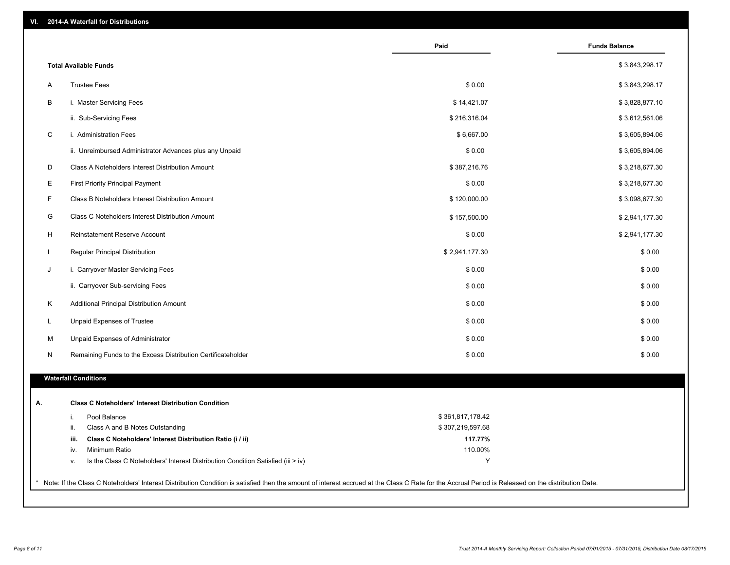| VI. |  | 2014-A Waterfall for Distributions |  |  |  |
|-----|--|------------------------------------|--|--|--|
|-----|--|------------------------------------|--|--|--|

|              |                                                                                    | Paid               | <b>Funds Balance</b> |
|--------------|------------------------------------------------------------------------------------|--------------------|----------------------|
|              | <b>Total Available Funds</b>                                                       |                    | \$3,843,298.17       |
| A            | <b>Trustee Fees</b>                                                                | \$0.00             | \$3,843,298.17       |
| B            | i. Master Servicing Fees                                                           | \$14,421.07        | \$3,828,877.10       |
|              | ii. Sub-Servicing Fees                                                             | \$216,316.04       | \$3,612,561.06       |
| C            | i. Administration Fees                                                             | \$6,667.00         | \$3,605,894.06       |
|              | ii. Unreimbursed Administrator Advances plus any Unpaid                            | \$0.00             | \$3,605,894.06       |
| D            | Class A Noteholders Interest Distribution Amount                                   | \$387,216.76       | \$3,218,677.30       |
| E            | <b>First Priority Principal Payment</b>                                            | \$0.00             | \$3,218,677.30       |
| F            |                                                                                    |                    |                      |
|              | Class B Noteholders Interest Distribution Amount                                   | \$120,000.00       | \$3,098,677.30       |
| G            | Class C Noteholders Interest Distribution Amount                                   | \$157,500.00       | \$2,941,177.30       |
| H            | Reinstatement Reserve Account                                                      | \$0.00             | \$2,941,177.30       |
| $\mathbf{I}$ | Regular Principal Distribution                                                     | \$2,941,177.30     | \$0.00               |
| J            | i. Carryover Master Servicing Fees                                                 | \$0.00             | \$0.00               |
|              | ii. Carryover Sub-servicing Fees                                                   | \$0.00             | \$0.00               |
| K            | Additional Principal Distribution Amount                                           | \$0.00             | \$0.00               |
| L            | Unpaid Expenses of Trustee                                                         | \$0.00             | \$0.00               |
| М            | Unpaid Expenses of Administrator                                                   | \$0.00             | \$0.00               |
| N            | Remaining Funds to the Excess Distribution Certificateholder                       | \$0.00             | \$0.00               |
|              | <b>Waterfall Conditions</b>                                                        |                    |                      |
|              |                                                                                    |                    |                      |
|              | <b>Class C Noteholders' Interest Distribution Condition</b>                        |                    |                      |
|              | Pool Balance<br>i.                                                                 | \$361,817,178.42   |                      |
|              | ii.<br>Class A and B Notes Outstanding                                             | \$307,219,597.68   |                      |
|              | Class C Noteholders' Interest Distribution Ratio (i / ii)<br>iii.<br>Minimum Ratio | 117.77%<br>110.00% |                      |
|              | iv.                                                                                | Y                  |                      |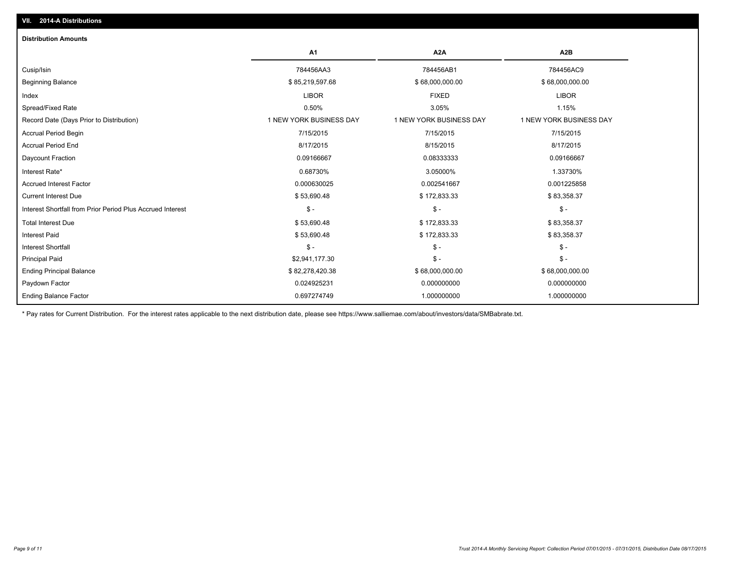| <b>Distribution Amounts</b>                                |                         |                         |                         |
|------------------------------------------------------------|-------------------------|-------------------------|-------------------------|
|                                                            | A <sub>1</sub>          | A2A                     | A2B                     |
| Cusip/Isin                                                 | 784456AA3               | 784456AB1               | 784456AC9               |
| <b>Beginning Balance</b>                                   | \$85,219,597.68         | \$68,000,000.00         | \$68,000,000.00         |
| Index                                                      | <b>LIBOR</b>            | <b>FIXED</b>            | <b>LIBOR</b>            |
| Spread/Fixed Rate                                          | 0.50%                   | 3.05%                   | 1.15%                   |
| Record Date (Days Prior to Distribution)                   | 1 NEW YORK BUSINESS DAY | 1 NEW YORK BUSINESS DAY | 1 NEW YORK BUSINESS DAY |
| <b>Accrual Period Begin</b>                                | 7/15/2015               | 7/15/2015               | 7/15/2015               |
| <b>Accrual Period End</b>                                  | 8/17/2015               | 8/15/2015               | 8/17/2015               |
| Daycount Fraction                                          | 0.09166667              | 0.08333333              | 0.09166667              |
| Interest Rate*                                             | 0.68730%                | 3.05000%                | 1.33730%                |
| <b>Accrued Interest Factor</b>                             | 0.000630025             | 0.002541667             | 0.001225858             |
| <b>Current Interest Due</b>                                | \$53,690.48             | \$172,833.33            | \$83,358.37             |
| Interest Shortfall from Prior Period Plus Accrued Interest | $S -$                   | $\mathsf{\$}$ -         | $\mathsf{\$}$ -         |
| <b>Total Interest Due</b>                                  | \$53,690.48             | \$172,833.33            | \$83,358.37             |
| <b>Interest Paid</b>                                       | \$53,690.48             | \$172,833.33            | \$83,358.37             |
| <b>Interest Shortfall</b>                                  | $S -$                   | $\mathsf{\$}$ -         | $\mathsf{\$}$ -         |
| <b>Principal Paid</b>                                      | \$2,941,177.30          | $\mathsf{\$}$ -         | $\mathsf{\$}$ -         |
| <b>Ending Principal Balance</b>                            | \$82,278,420.38         | \$68,000,000.00         | \$68,000,000.00         |
| Paydown Factor                                             | 0.024925231             | 0.000000000             | 0.000000000             |
| <b>Ending Balance Factor</b>                               | 0.697274749             | 1.000000000             | 1.000000000             |

\* Pay rates for Current Distribution. For the interest rates applicable to the next distribution date, please see https://www.salliemae.com/about/investors/data/SMBabrate.txt.

**VII. 2014-A Distributions**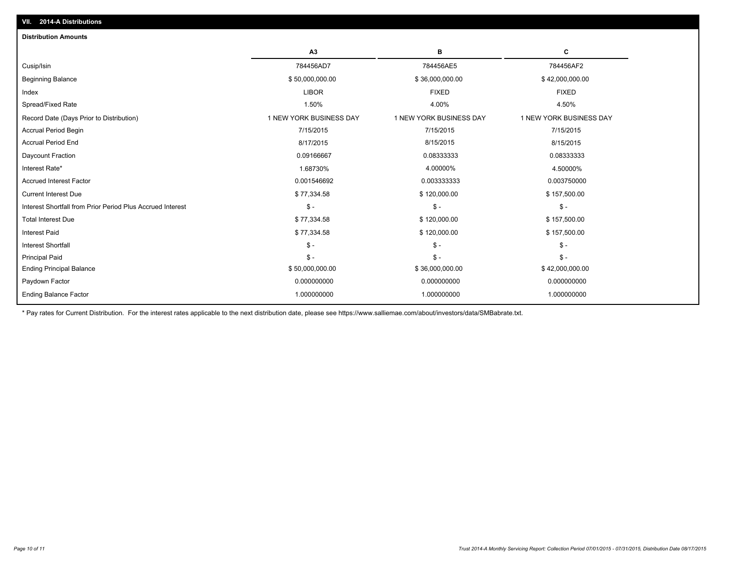| <b>Distribution Amounts</b>                                |                         |                         |                         |
|------------------------------------------------------------|-------------------------|-------------------------|-------------------------|
|                                                            | A3                      | в                       | С                       |
| Cusip/Isin                                                 | 784456AD7               | 784456AE5               | 784456AF2               |
| <b>Beginning Balance</b>                                   | \$50,000,000.00         | \$36,000,000.00         | \$42,000,000.00         |
| Index                                                      | <b>LIBOR</b>            | <b>FIXED</b>            | <b>FIXED</b>            |
| Spread/Fixed Rate                                          | 1.50%                   | 4.00%                   | 4.50%                   |
| Record Date (Days Prior to Distribution)                   | 1 NEW YORK BUSINESS DAY | 1 NEW YORK BUSINESS DAY | 1 NEW YORK BUSINESS DAY |
| <b>Accrual Period Begin</b>                                | 7/15/2015               | 7/15/2015               | 7/15/2015               |
| <b>Accrual Period End</b>                                  | 8/17/2015               | 8/15/2015               | 8/15/2015               |
| Daycount Fraction                                          | 0.09166667              | 0.08333333              | 0.08333333              |
| Interest Rate*                                             | 1.68730%                | 4.00000%                | 4.50000%                |
| <b>Accrued Interest Factor</b>                             | 0.001546692             | 0.003333333             | 0.003750000             |
| <b>Current Interest Due</b>                                | \$77,334.58             | \$120,000.00            | \$157,500.00            |
| Interest Shortfall from Prior Period Plus Accrued Interest | $S -$                   | $$ -$                   | $S -$                   |
| <b>Total Interest Due</b>                                  | \$77,334.58             | \$120,000.00            | \$157,500.00            |
| <b>Interest Paid</b>                                       | \$77,334.58             | \$120,000.00            | \$157,500.00            |
| <b>Interest Shortfall</b>                                  | $S -$                   | $\mathsf{\$}$ -         | $\mathsf{\$}$ -         |
| <b>Principal Paid</b>                                      | $S -$                   | $S -$                   | $\mathsf{\$}$ -         |
| <b>Ending Principal Balance</b>                            | \$50,000,000.00         | \$36,000,000.00         | \$42,000,000.00         |
| Paydown Factor                                             | 0.000000000             | 0.000000000             | 0.000000000             |
| <b>Ending Balance Factor</b>                               | 1.000000000             | 1.000000000             | 1.000000000             |
|                                                            |                         |                         |                         |

\* Pay rates for Current Distribution. For the interest rates applicable to the next distribution date, please see https://www.salliemae.com/about/investors/data/SMBabrate.txt.

**VII. 2014-A Distributions**